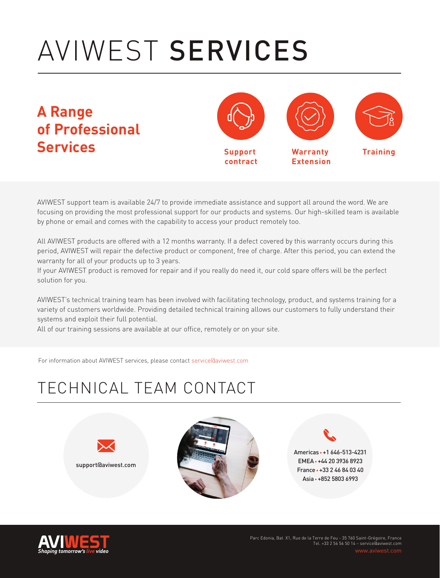## AVIWEST SERVICES

**A Range of Professional Services**



AVIWEST support team is available 24/7 to provide immediate assistance and support all around the word. We are focusing on providing the most professional support for our products and systems. Our high-skilled team is available by phone or email and comes with the capability to access your product remotely too.

All AVIWEST products are offered with a 12 months warranty. If a defect covered by this warranty occurs during this period, AVIWEST will repair the defective product or component, free of charge. After this period, you can extend the warranty for all of your products up to 3 years.

If your AVIWEST product is removed for repair and if you really do need it, our cold spare offers will be the perfect solution for you.

AVIWEST's technical training team has been involved with facilitating technology, product, and systems training for a variety of customers worldwide. Providing detailed technical training allows our customers to fully understand their systems and exploit their full potential.

All of our training sessions are available at our office, remotely or on your site.

For information about AVIWEST services, please contact service@aviwest.com

## TECHNICAL TEAM CONTACT